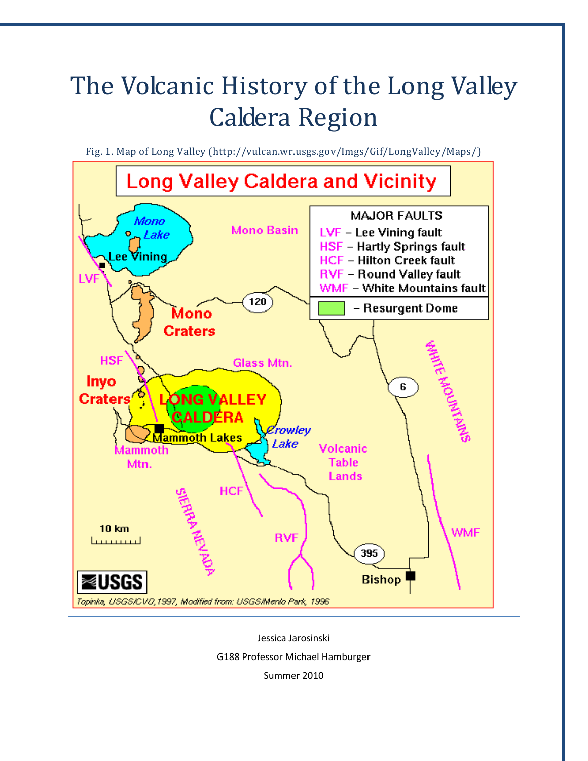# The Volcanic History of the Long Valley Caldera Region

Fig. 1. Map of Long Valley (http://vulcan.wr.usgs.gov/Imgs/Gif/LongValley/Maps/)



Jessica Jarosinski G188 Professor Michael Hamburger Summer 2010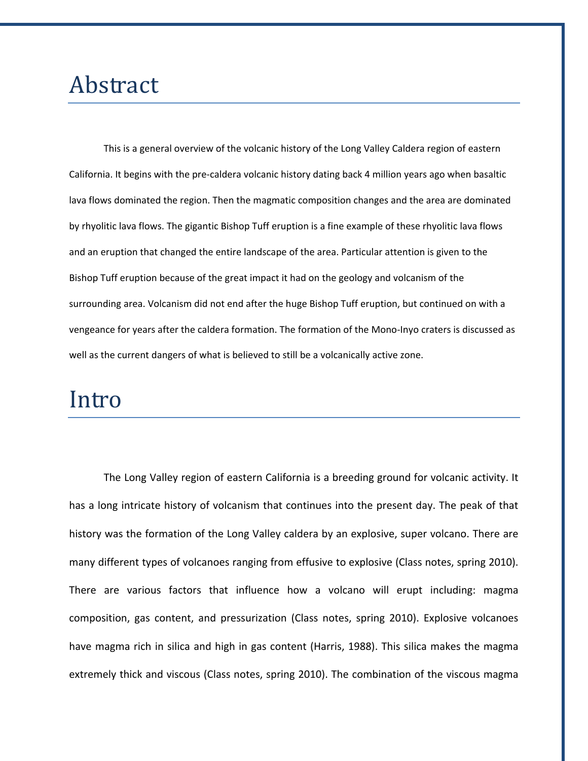# Abstract

This is a general overview of the volcanic history of the Long Valley Caldera region of eastern California. It begins with the pre‐caldera volcanic history dating back 4 million years ago when basaltic lava flows dominated the region. Then the magmatic composition changes and the area are dominated by rhyolitic lava flows. The gigantic Bishop Tuff eruption is a fine example of these rhyolitic lava flows and an eruption that changed the entire landscape of the area. Particular attention is given to the Bishop Tuff eruption because of the great impact it had on the geology and volcanism of the surrounding area. Volcanism did not end after the huge Bishop Tuff eruption, but continued on with a vengeance for years after the caldera formation. The formation of the Mono‐Inyo craters is discussed as well as the current dangers of what is believed to still be a volcanically active zone.

# Intro

The Long Valley region of eastern California is a breeding ground for volcanic activity. It has a long intricate history of volcanism that continues into the present day. The peak of that history was the formation of the Long Valley caldera by an explosive, super volcano. There are many different types of volcanoes ranging from effusive to explosive (Class notes, spring 2010). There are various factors that influence how a volcano will erupt including: magma composition, gas content, and pressurization (Class notes, spring 2010). Explosive volcanoes have magma rich in silica and high in gas content (Harris, 1988). This silica makes the magma extremely thick and viscous (Class notes, spring 2010). The combination of the viscous magma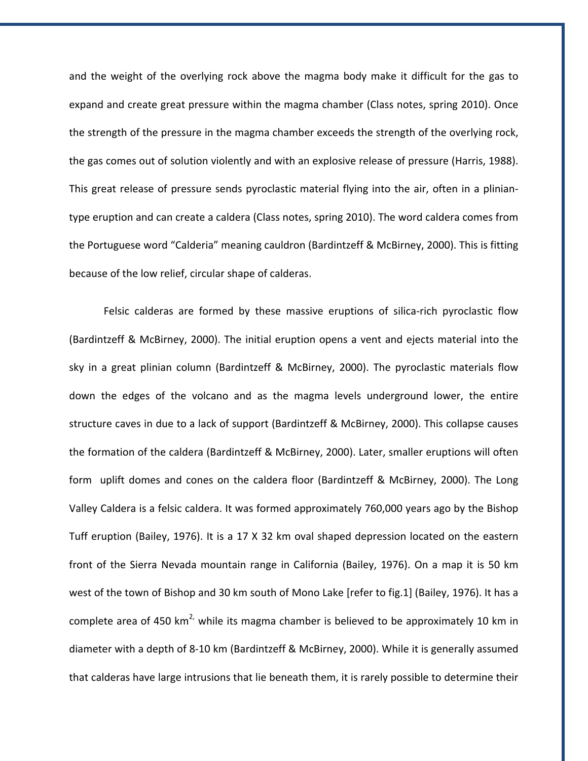and the weight of the overlying rock above the magma body make it difficult for the gas to expand and create great pressure within the magma chamber (Class notes, spring 2010). Once the strength of the pressure in the magma chamber exceeds the strength of the overlying rock, the gas comes out of solution violently and with an explosive release of pressure (Harris, 1988). This great release of pressure sends pyroclastic material flying into the air, often in a plinian‐ type eruption and can create a caldera (Class notes, spring 2010). The word caldera comes from the Portuguese word "Calderia" meaning cauldron (Bardintzeff & McBirney, 2000). This is fitting because of the low relief, circular shape of calderas.

Felsic calderas are formed by these massive eruptions of silica-rich pyroclastic flow (Bardintzeff & McBirney, 2000). The initial eruption opens a vent and ejects material into the sky in a great plinian column (Bardintzeff & McBirney, 2000). The pyroclastic materials flow down the edges of the volcano and as the magma levels underground lower, the entire structure caves in due to a lack of support (Bardintzeff & McBirney, 2000). This collapse causes the formation of the caldera (Bardintzeff & McBirney, 2000). Later, smaller eruptions will often form uplift domes and cones on the caldera floor (Bardintzeff & McBirney, 2000). The Long Valley Caldera is a felsic caldera. It was formed approximately 760,000 years ago by the Bishop Tuff eruption (Bailey, 1976). It is a 17 X 32 km oval shaped depression located on the eastern front of the Sierra Nevada mountain range in California (Bailey, 1976). On a map it is 50 km west of the town of Bishop and 30 km south of Mono Lake [refer to fig.1] (Bailey, 1976). It has a complete area of 450 km<sup>2</sup>, while its magma chamber is believed to be approximately 10 km in diameter with a depth of 8‐10 km (Bardintzeff & McBirney, 2000). While it is generally assumed that calderas have large intrusions that lie beneath them, it is rarely possible to determine their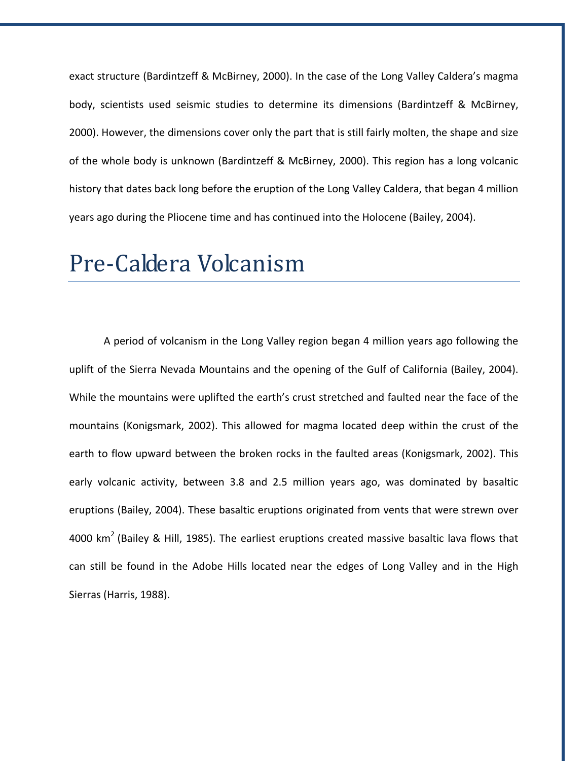exact structure (Bardintzeff & McBirney, 2000). In the case of the Long Valley Caldera's magma body, scientists used seismic studies to determine its dimensions (Bardintzeff & McBirney, 2000). However, the dimensions cover only the part that is still fairly molten, the shape and size of the whole body is unknown (Bardintzeff & McBirney, 2000). This region has a long volcanic history that dates back long before the eruption of the Long Valley Caldera, that began 4 million years ago during the Pliocene time and has continued into the Holocene (Bailey, 2004).

# Pre‐Caldera Volcanism

A period of volcanism in the Long Valley region began 4 million years ago following the uplift of the Sierra Nevada Mountains and the opening of the Gulf of California (Bailey, 2004). While the mountains were uplifted the earth's crust stretched and faulted near the face of the mountains (Konigsmark, 2002). This allowed for magma located deep within the crust of the earth to flow upward between the broken rocks in the faulted areas (Konigsmark, 2002). This early volcanic activity, between 3.8 and 2.5 million years ago, was dominated by basaltic eruptions (Bailey, 2004). These basaltic eruptions originated from vents that were strewn over 4000 km<sup>2</sup> (Bailey & Hill, 1985). The earliest eruptions created massive basaltic lava flows that can still be found in the Adobe Hills located near the edges of Long Valley and in the High Sierras (Harris, 1988).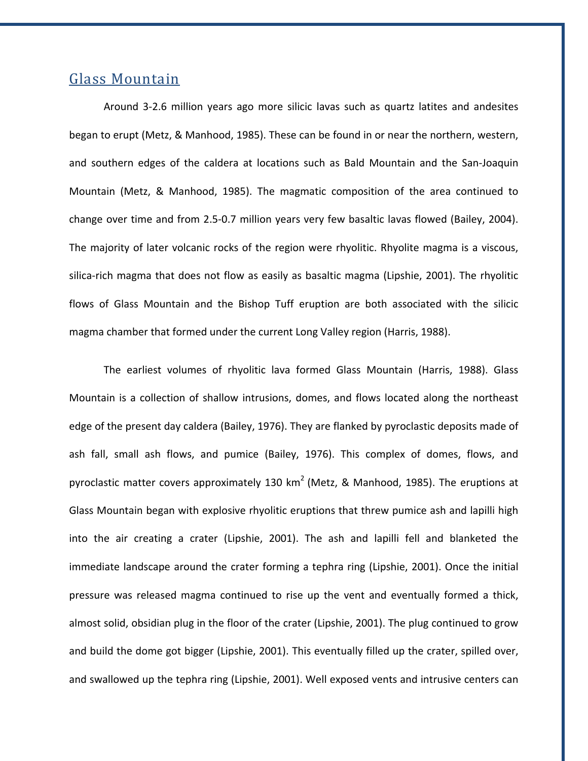#### Glass Mountain

Around 3‐2.6 million years ago more silicic lavas such as quartz latites and andesites began to erupt (Metz, & Manhood, 1985). These can be found in or near the northern, western, and southern edges of the caldera at locations such as Bald Mountain and the San‐Joaquin Mountain (Metz, & Manhood, 1985). The magmatic composition of the area continued to change over time and from 2.5‐0.7 million years very few basaltic lavas flowed (Bailey, 2004). The majority of later volcanic rocks of the region were rhyolitic. Rhyolite magma is a viscous, silica-rich magma that does not flow as easily as basaltic magma (Lipshie, 2001). The rhyolitic flows of Glass Mountain and the Bishop Tuff eruption are both associated with the silicic magma chamber that formed under the current Long Valley region (Harris, 1988).

The earliest volumes of rhyolitic lava formed Glass Mountain (Harris, 1988). Glass Mountain is a collection of shallow intrusions, domes, and flows located along the northeast edge of the present day caldera (Bailey, 1976). They are flanked by pyroclastic deposits made of ash fall, small ash flows, and pumice (Bailey, 1976). This complex of domes, flows, and pyroclastic matter covers approximately 130 km<sup>2</sup> (Metz, & Manhood, 1985). The eruptions at Glass Mountain began with explosive rhyolitic eruptions that threw pumice ash and lapilli high into the air creating a crater (Lipshie, 2001). The ash and lapilli fell and blanketed the immediate landscape around the crater forming a tephra ring (Lipshie, 2001). Once the initial pressure was released magma continued to rise up the vent and eventually formed a thick, almost solid, obsidian plug in the floor of the crater (Lipshie, 2001). The plug continued to grow and build the dome got bigger (Lipshie, 2001). This eventually filled up the crater, spilled over, and swallowed up the tephra ring (Lipshie, 2001). Well exposed vents and intrusive centers can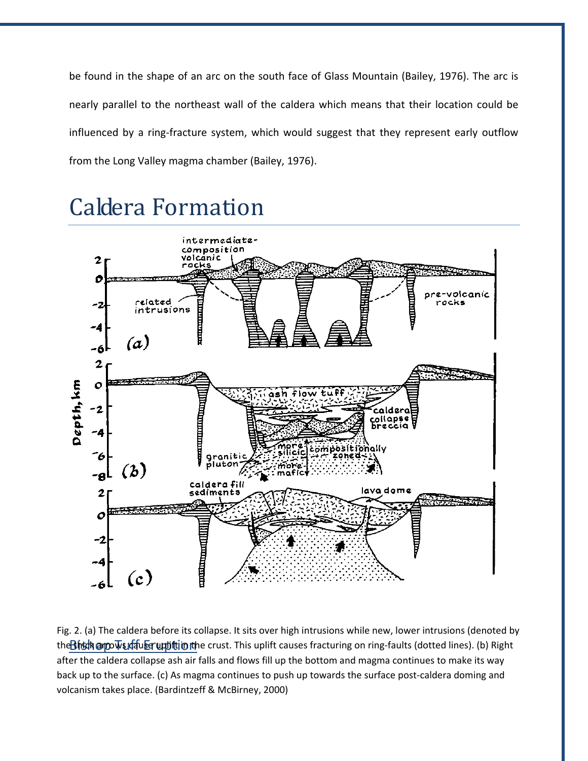be found in the shape of an arc on the south face of Glass Mountain (Bailey, 1976). The arc is nearly parallel to the northeast wall of the caldera which means that their location could be influenced by a ring-fracture system, which would suggest that they represent early outflow from the Long Valley magma chamber (Bailey, 1976).

# Caldera Formation



the<mark>Bitsdk @rpovs」dau ber uppittin ith</mark>e crust. This uplift causes fracturing on ring-faults (dotted lines). (b) Right Fig. 2. (a) The caldera before its collapse. It sits over high intrusions while new, lower intrusions (denoted by after the caldera collapse ash air falls and flows fill up the bottom and magma continues to make its way back up to the surface. (c) As magma continues to push up towards the surface post-caldera doming and volcanism takes place. (Bardintzeff & McBirney, 2000)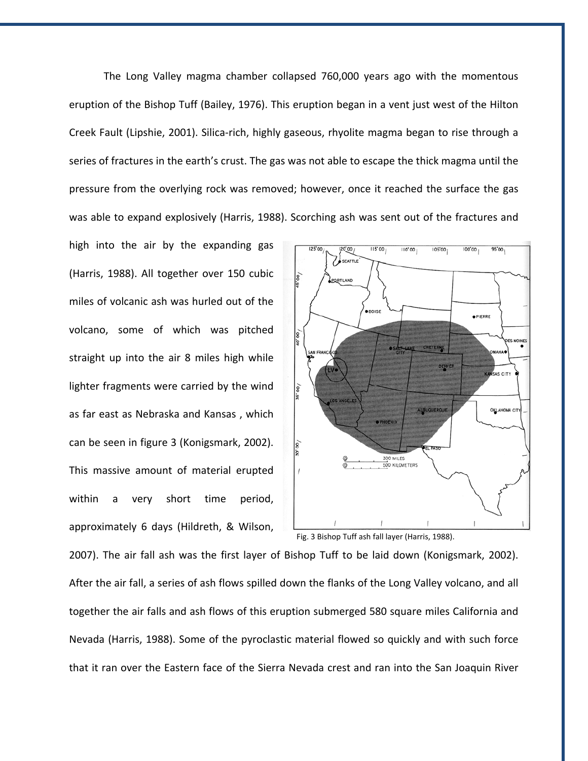The Long Valley magma chamber collapsed 760,000 years ago with the momentous eruption of the Bishop Tuff (Bailey, 1976). This eruption began in a vent just west of the Hilton Creek Fault (Lipshie, 2001). Silica‐rich, highly gaseous, rhyolite magma began to rise through a series of fractures in the earth's crust. The gas was not able to escape the thick magma until the pressure from the overlying rock was removed; however, once it reached the surface the gas was able to expand explosively (Harris, 1988). Scorching ash was sent out of the fractures and

high into the air by the expanding gas (Harris, 1988). All together over 150 cubic miles of volcanic ash was hurled out of the volcano, some of which was pitched straight up into the air 8 miles high while lighter fragments were carried by the wind as far east as Nebraska and Kansas , which can be seen in figure 3 (Konigsmark, 2002). This massive amount of material erupted within a very short time period, approximately 6 days (Hildreth, & Wilson,



Fig. 3 Bishop Tuff ash fall layer (Harris, 1988).

2007). The air fall ash was the first layer of Bishop Tuff to be laid down (Konigsmark, 2002). After the air fall, a series of ash flows spilled down the flanks of the Long Valley volcano, and all together the air falls and ash flows of this eruption submerged 580 square miles California and Nevada (Harris, 1988). Some of the pyroclastic material flowed so quickly and with such force that it ran over the Eastern face of the Sierra Nevada crest and ran into the San Joaquin River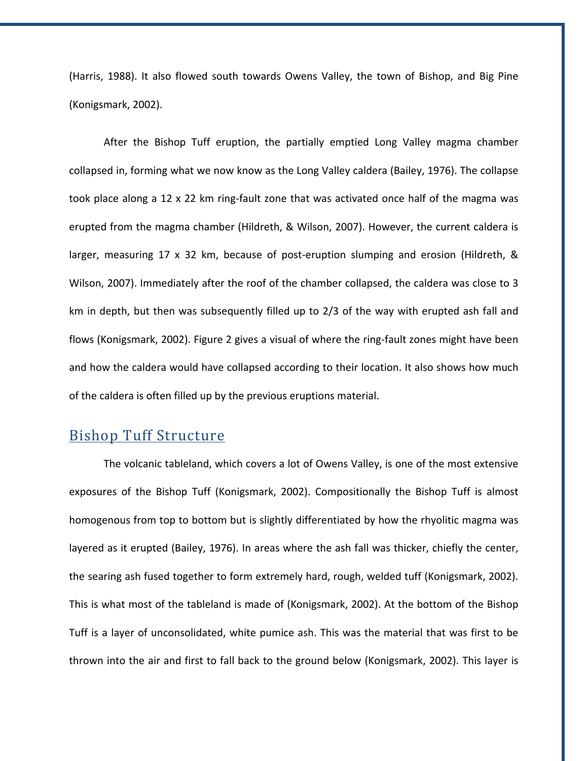(Harris, 1988). It also flowed south towards Owens Valley, the town of Bishop, and Big Pine (Konigsmark, 2002).

After the Bishop Tuff eruption, the partially emptied Long Valley magma chamber collapsed in, forming what we now know as the Long Valley caldera (Bailey, 1976). The collapse took place along a 12 x 22 km ring-fault zone that was activated once half of the magma was erupted from the magma chamber (Hildreth, & Wilson, 2007). However, the current caldera is larger, measuring 17 x 32 km, because of post-eruption slumping and erosion (Hildreth, & Wilson, 2007). Immediately after the roof of the chamber collapsed, the caldera was close to 3 km in depth, but then was subsequently filled up to 2/3 of the way with erupted ash fall and flows (Konigsmark, 2002). Figure 2 gives a visual of where the ring-fault zones might have been and how the caldera would have collapsed according to their location. It also shows how much of the caldera is often filled up by the previous eruptions material.

#### Bishop Tuff Structure

The volcanic tableland, which covers a lot of Owens Valley, is one of the most extensive exposures of the Bishop Tuff (Konigsmark, 2002). Compositionally the Bishop Tuff is almost homogenous from top to bottom but is slightly differentiated by how the rhyolitic magma was layered as it erupted (Bailey, 1976). In areas where the ash fall was thicker, chiefly the center, the searing ash fused together to form extremely hard, rough, welded tuff (Konigsmark, 2002). This is what most of the tableland is made of (Konigsmark, 2002). At the bottom of the Bishop Tuff is a layer of unconsolidated, white pumice ash. This was the material that was first to be thrown into the air and first to fall back to the ground below (Konigsmark, 2002). This layer is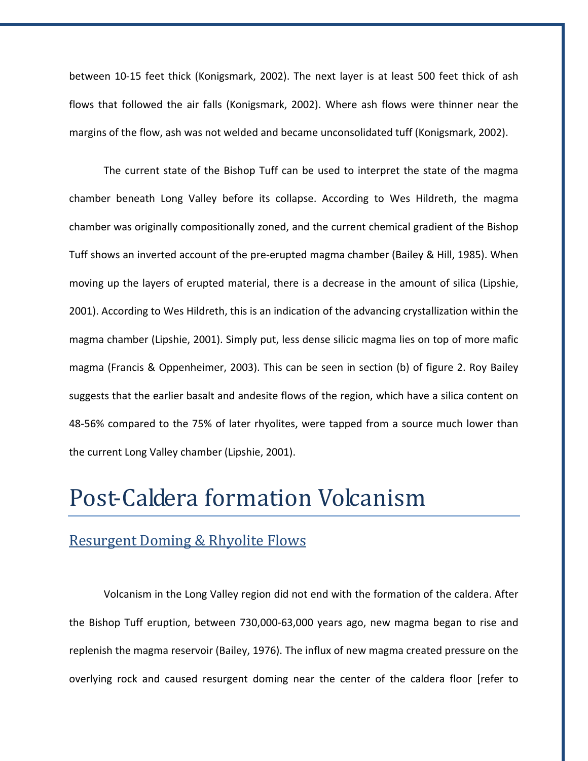between 10‐15 feet thick (Konigsmark, 2002). The next layer is at least 500 feet thick of ash flows that followed the air falls (Konigsmark, 2002). Where ash flows were thinner near the margins of the flow, ash was not welded and became unconsolidated tuff (Konigsmark, 2002).

The current state of the Bishop Tuff can be used to interpret the state of the magma chamber beneath Long Valley before its collapse. According to Wes Hildreth, the magma chamber was originally compositionally zoned, and the current chemical gradient of the Bishop Tuff shows an inverted account of the pre‐erupted magma chamber (Bailey & Hill, 1985). When moving up the layers of erupted material, there is a decrease in the amount of silica (Lipshie, 2001). According to Wes Hildreth, this is an indication of the advancing crystallization within the magma chamber (Lipshie, 2001). Simply put, less dense silicic magma lies on top of more mafic magma (Francis & Oppenheimer, 2003). This can be seen in section (b) of figure 2. Roy Bailey suggests that the earlier basalt and andesite flows of the region, which have a silica content on 48‐56% compared to the 75% of later rhyolites, were tapped from a source much lower than the current Long Valley chamber (Lipshie, 2001).

### Post‐Caldera formation Volcanism

#### Resurgent Doming & Rhyolite Flows

Volcanism in the Long Valley region did not end with the formation of the caldera. After the Bishop Tuff eruption, between 730,000‐63,000 years ago, new magma began to rise and replenish the magma reservoir (Bailey, 1976). The influx of new magma created pressure on the overlying rock and caused resurgent doming near the center of the caldera floor [refer to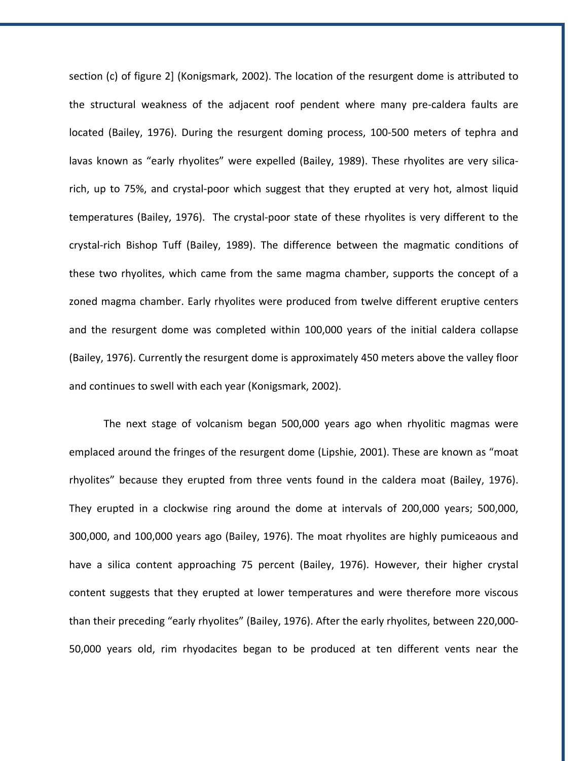section (c) of figure 2] (Konigsmark, 2002). The location of the resurgent dome is attributed to the structural weakness of the adjacent roof pendent where many pre‐caldera faults are located (Bailey, 1976). During the resurgent doming process, 100‐500 meters of tephra and lavas known as "early rhyolites" were expelled (Bailey, 1989). These rhyolites are very silicarich, up to 75%, and crystal‐poor which suggest that they erupted at very hot, almost liquid temperatures (Bailey, 1976). The crystal‐poor state of these rhyolites is very different to the crystal‐rich Bishop Tuff (Bailey, 1989). The difference between the magmatic conditions of these two rhyolites, which came from the same magma chamber, supports the concept of a zoned magma chamber. Early rhyolites were produced from twelve different eruptive centers and the resurgent dome was completed within 100,000 years of the initial caldera collapse (Bailey, 1976). Currently the resurgent dome is approximately 450 meters above the valley floor and continues to swell with each year (Konigsmark, 2002).

The next stage of volcanism began 500,000 years ago when rhyolitic magmas were emplaced around the fringes of the resurgent dome (Lipshie, 2001). These are known as "moat rhyolites" because they erupted from three vents found in the caldera moat (Bailey, 1976). They erupted in a clockwise ring around the dome at intervals of 200,000 years; 500,000, 300,000, and 100,000 years ago (Bailey, 1976). The moat rhyolites are highly pumiceaous and have a silica content approaching 75 percent (Bailey, 1976). However, their higher crystal content suggests that they erupted at lower temperatures and were therefore more viscous than their preceding "early rhyolites" (Bailey, 1976). After the early rhyolites, between 220,000‐ 50,000 years old, rim rhyodacites began to be produced at ten different vents near the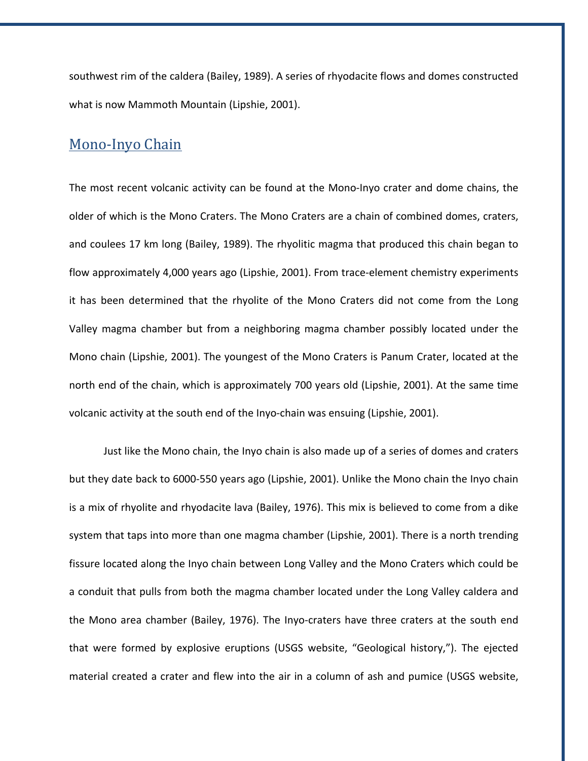southwest rim of the caldera (Bailey, 1989). A series of rhyodacite flows and domes constructed what is now Mammoth Mountain (Lipshie, 2001).

#### Mono‐Inyo Chain

The most recent volcanic activity can be found at the Mono‐Inyo crater and dome chains, the older of which is the Mono Craters. The Mono Craters are a chain of combined domes, craters, and coulees 17 km long (Bailey, 1989). The rhyolitic magma that produced this chain began to flow approximately 4,000 years ago (Lipshie, 2001). From trace-element chemistry experiments it has been determined that the rhyolite of the Mono Craters did not come from the Long Valley magma chamber but from a neighboring magma chamber possibly located under the Mono chain (Lipshie, 2001). The youngest of the Mono Craters is Panum Crater, located at the north end of the chain, which is approximately 700 years old (Lipshie, 2001). At the same time volcanic activity at the south end of the Inyo‐chain was ensuing (Lipshie, 2001).

Just like the Mono chain, the Inyo chain is also made up of a series of domes and craters but they date back to 6000‐550 years ago (Lipshie, 2001). Unlike the Mono chain the Inyo chain is a mix of rhyolite and rhyodacite lava (Bailey, 1976). This mix is believed to come from a dike system that taps into more than one magma chamber (Lipshie, 2001). There is a north trending fissure located along the Inyo chain between Long Valley and the Mono Craters which could be a conduit that pulls from both the magma chamber located under the Long Valley caldera and the Mono area chamber (Bailey, 1976). The Inyo‐craters have three craters at the south end that were formed by explosive eruptions (USGS website, "Geological history,"). The ejected material created a crater and flew into the air in a column of ash and pumice (USGS website,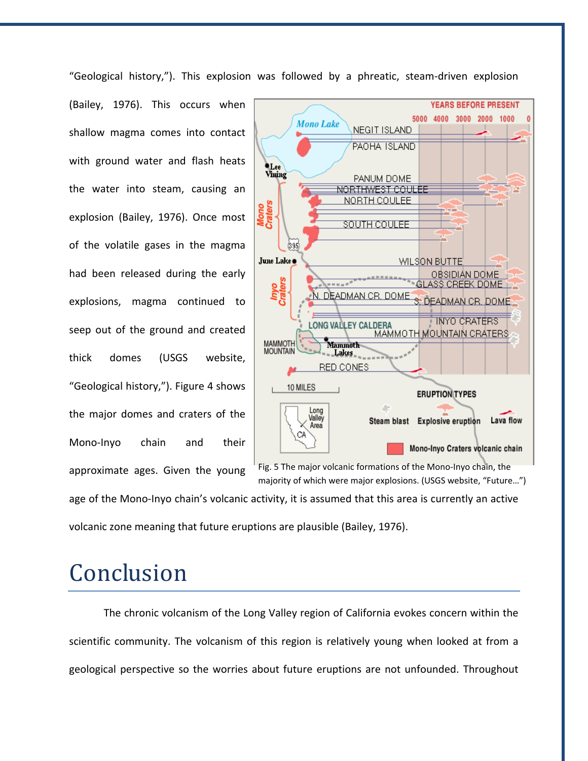"Geological history,"). This explosion was followed by a phreatic, steam‐driven explosion

(Bailey, 1976). This occurs when shallow magma comes into contact with ground water and flash heats the water into steam, causing an explosion (Bailey, 1976). Once most of the volatile gases in the magma had been released during the early explosions, magma continued to seep out of the ground and created thick domes (USGS website, "Geological history,"). Figure 4 shows the major domes and craters of the Mono-Inyo chain and their approximate ages. Given the young



majority of which were major explosions. (USGS website, "Future…")

age of the Mono-Inyo chain's volcanic activity, it is assumed that this area is currently an active

volcanic zone meaning that future eruptions are plausible (Bailey, 1976).

# Conclusion

The chronic volcanism of the Long Valley region of California evokes concern within the scientific community. The volcanism of this region is relatively young when looked at from a geological perspective so the worries about future eruptions are not unfounded. Throughout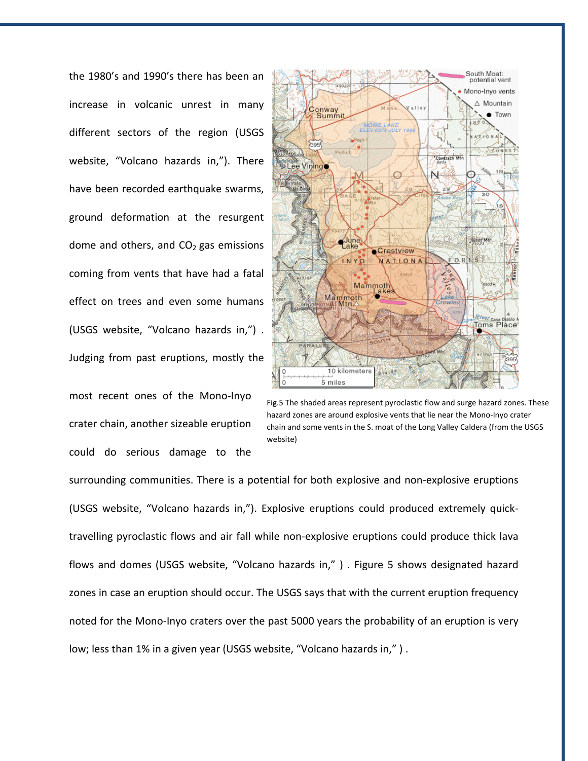the 1980's and 1990's there has been an increase in volcanic unrest in many different sectors of the region (USGS website, "Volcano hazards in,"). There have been recorded earthquake swarms, ground deformation at the resurgent dome and others, and  $CO<sub>2</sub>$  gas emissions coming from vents that have had a fatal effect on trees and even some humans (USGS website, "Volcano hazards in,") . Judging from past eruptions, mostly the

most recent ones of the Mono‐Inyo crater chain, another sizeable eruption could do serious damage to the



Fig.5 The shaded areas represent pyroclastic flow and surge hazard zones. These hazard zones are around explosive vents that lie near the Mono-Inyo crater chain and some vents in the S. moat of the Long Valley Caldera (from the USGS website)

surrounding communities. There is a potential for both explosive and non‐explosive eruptions (USGS website, "Volcano hazards in,"). Explosive eruptions could produced extremely quick‐ travelling pyroclastic flows and air fall while non‐explosive eruptions could produce thick lava flows and domes (USGS website, "Volcano hazards in," ) . Figure 5 shows designated hazard zones in case an eruption should occur. The USGS says that with the current eruption frequency noted for the Mono-Inyo craters over the past 5000 years the probability of an eruption is very low; less than 1% in a given year (USGS website, "Volcano hazards in," ) .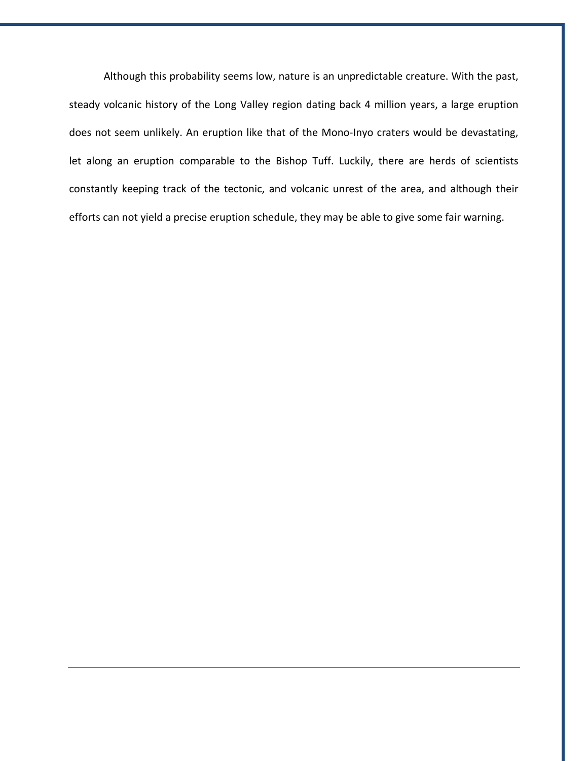Although this probability seems low, nature is an unpredictable creature. With the past, steady volcanic history of the Long Valley region dating back 4 million years, a large eruption does not seem unlikely. An eruption like that of the Mono‐Inyo craters would be devastating, let along an eruption comparable to the Bishop Tuff. Luckily, there are herds of scientists constantly keeping track of the tectonic, and volcanic unrest of the area, and although their efforts can not yield a precise eruption schedule, they may be able to give some fair warning.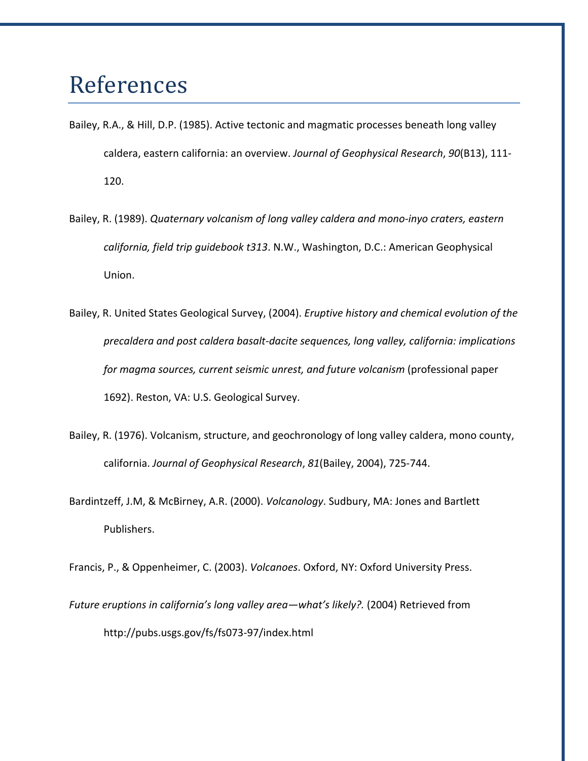## References

- Bailey, R.A., & Hill, D.P. (1985). Active tectonic and magmatic processes beneath long valley caldera, eastern california: an overview. *Journal of Geophysical Research*, *90*(B13), 111‐ 120.
- Bailey, R. (1989). *Quaternary volcanism of long valley caldera and mono‐inyo craters, eastern california, field trip guidebook t313*. N.W., Washington, D.C.: American Geophysical Union.
- Bailey, R. United States Geological Survey, (2004). *Eruptive history and chemical evolution of the precaldera and post caldera basalt‐dacite sequences, long valley, california: implications for magma sources, current seismic unrest, and future volcanism* (professional paper 1692). Reston, VA: U.S. Geological Survey.
- Bailey, R. (1976). Volcanism, structure, and geochronology of long valley caldera, mono county, california. *Journal of Geophysical Research*, *81*(Bailey, 2004), 725‐744.
- Bardintzeff, J.M, & McBirney, A.R. (2000). *Volcanology*. Sudbury, MA: Jones and Bartlett Publishers.

Francis, P., & Oppenheimer, C. (2003). *Volcanoes*. Oxford, NY: Oxford University Press.

*Future eruptions in california's long valley area—what's likely?.* (2004) Retrieved from http://pubs.usgs.gov/fs/fs073‐97/index.html